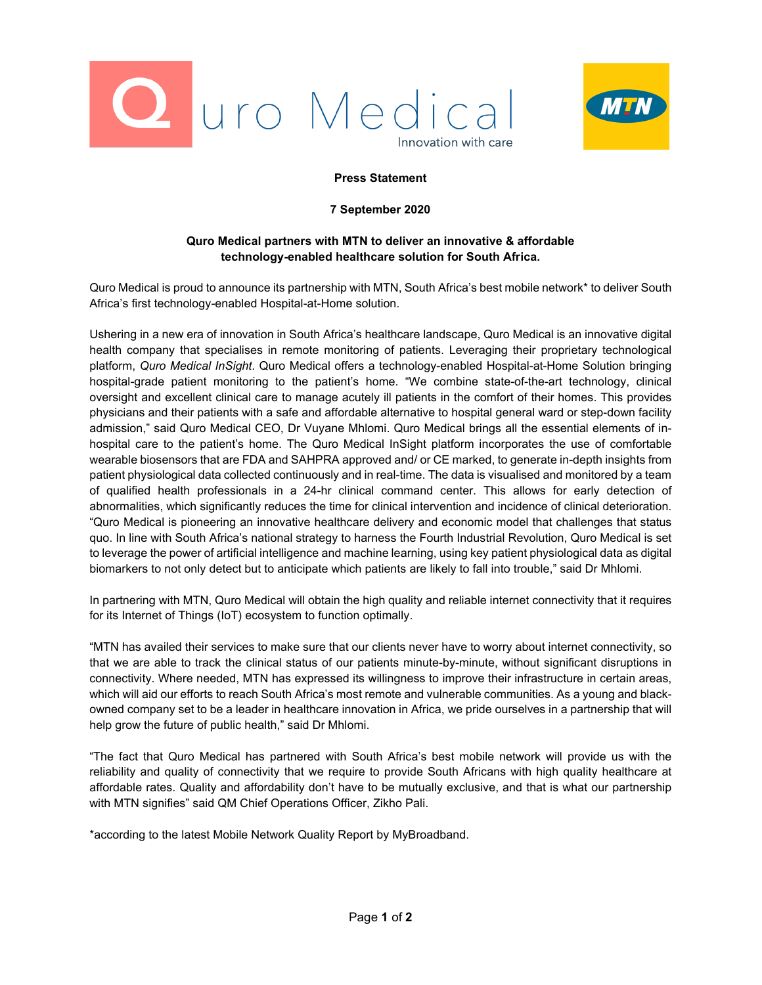



## **Press Statement**

## **7 September 2020**

## **Quro Medical partners with MTN to deliver an innovative & affordable technology-enabled healthcare solution for South Africa.**

Quro Medical is proud to announce its partnership with MTN, South Africa's best mobile network\* to deliver South Africa's first technology-enabled Hospital-at-Home solution.

Ushering in a new era of innovation in South Africa's healthcare landscape, Quro Medical is an innovative digital health company that specialises in remote monitoring of patients. Leveraging their proprietary technological platform, *Quro Medical InSight*. Quro Medical offers a technology-enabled Hospital-at-Home Solution bringing hospital-grade patient monitoring to the patient's home. "We combine state-of-the-art technology, clinical oversight and excellent clinical care to manage acutely ill patients in the comfort of their homes. This provides physicians and their patients with a safe and affordable alternative to hospital general ward or step-down facility admission," said Quro Medical CEO, Dr Vuyane Mhlomi. Quro Medical brings all the essential elements of inhospital care to the patient's home. The Quro Medical InSight platform incorporates the use of comfortable wearable biosensors that are FDA and SAHPRA approved and/ or CE marked, to generate in-depth insights from patient physiological data collected continuously and in real-time. The data is visualised and monitored by a team of qualified health professionals in a 24-hr clinical command center. This allows for early detection of abnormalities, which significantly reduces the time for clinical intervention and incidence of clinical deterioration. "Quro Medical is pioneering an innovative healthcare delivery and economic model that challenges that status quo. In line with South Africa's national strategy to harness the Fourth Industrial Revolution, Quro Medical is set to leverage the power of artificial intelligence and machine learning, using key patient physiological data as digital biomarkers to not only detect but to anticipate which patients are likely to fall into trouble," said Dr Mhlomi.

In partnering with MTN, Quro Medical will obtain the high quality and reliable internet connectivity that it requires for its Internet of Things (IoT) ecosystem to function optimally.

"MTN has availed their services to make sure that our clients never have to worry about internet connectivity, so that we are able to track the clinical status of our patients minute-by-minute, without significant disruptions in connectivity. Where needed, MTN has expressed its willingness to improve their infrastructure in certain areas, which will aid our efforts to reach South Africa's most remote and vulnerable communities. As a young and blackowned company set to be a leader in healthcare innovation in Africa, we pride ourselves in a partnership that will help grow the future of public health," said Dr Mhlomi.

"The fact that Quro Medical has partnered with South Africa's best mobile network will provide us with the reliability and quality of connectivity that we require to provide South Africans with high quality healthcare at affordable rates. Quality and affordability don't have to be mutually exclusive, and that is what our partnership with MTN signifies" said QM Chief Operations Officer, Zikho Pali.

\*according to the latest Mobile Network Quality Report by MyBroadband.